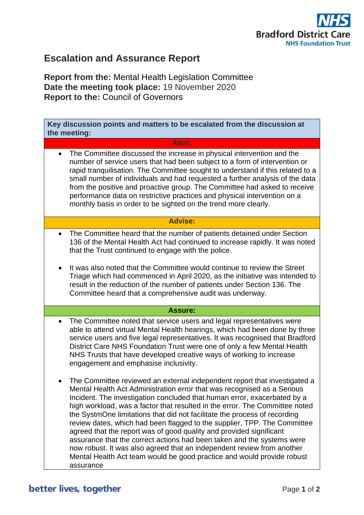

## **Escalation and Assurance Report**

**Report from the:** Mental Health Legislation Committee **Date the meeting took place:** 19 November 2020 **Report to the:** Council of Governors

**Key discussion points and matters to be escalated from the discussion at the meeting: Alert:** • The Committee discussed the increase in physical intervention and the number of service users that had been subject to a form of intervention or rapid tranquilisation. The Committee sought to understand if this related to a small number of individuals and had requested a further analysis of the data from the positive and proactive group. The Committee had asked to receive performance data on restrictive practices and physical intervention on a monthly basis in order to be sighted on the trend more clearly. **Advise:** • The Committee heard that the number of patients detained under Section 136 of the Mental Health Act had continued to increase rapidly. It was noted that the Trust continued to engage with the police. • It was also noted that the Committee would continue to review the Street Triage which had commenced in April 2020, as the initiative was intended to result in the reduction of the number of patients under Section 136. The Committee heard that a comprehensive audit was underway. **Assure:** • The Committee noted that service users and legal representatives were able to attend virtual Mental Health hearings, which had been done by three service users and five legal representatives. It was recognised that Bradford District Care NHS Foundation Trust were one of only a few Mental Health NHS Trusts that have developed creative ways of working to increase engagement and emphasise inclusivity. • The Committee reviewed an external independent report that investigated a Mental Health Act Administration error that was recognised as a Serious Incident. The investigation concluded that human error, exacerbated by a high workload, was a factor that resulted in the error. The Committee noted the SystmOne limitations that did not facilitate the process of recording review dates, which had been flagged to the supplier, TPP. The Committee agreed that the report was of good quality and provided significant assurance that the correct actions had been taken and the systems were now robust. It was also agreed that an independent review from another Mental Health Act team would be good practice and would provide robust assurance